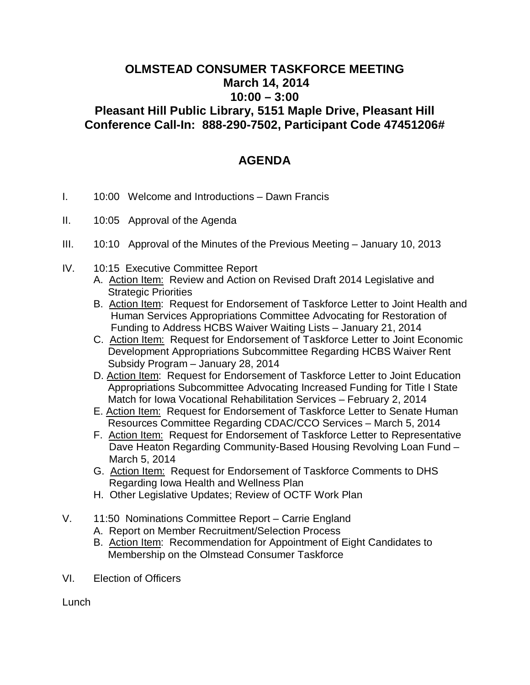## **OLMSTEAD CONSUMER TASKFORCE MEETING March 14, 2014 10:00 – 3:00 Pleasant Hill Public Library, 5151 Maple Drive, Pleasant Hill Conference Call-In: 888-290-7502, Participant Code 47451206#**

## **AGENDA**

- I. 10:00 Welcome and Introductions Dawn Francis
- II. 10:05 Approval of the Agenda
- III. 10:10 Approval of the Minutes of the Previous Meeting January 10, 2013
- IV. 10:15 Executive Committee Report
	- A. Action Item: Review and Action on Revised Draft 2014 Legislative and Strategic Priorities
	- B. Action Item: Request for Endorsement of Taskforce Letter to Joint Health and Human Services Appropriations Committee Advocating for Restoration of Funding to Address HCBS Waiver Waiting Lists – January 21, 2014
	- C. Action Item: Request for Endorsement of Taskforce Letter to Joint Economic Development Appropriations Subcommittee Regarding HCBS Waiver Rent Subsidy Program – January 28, 2014
	- D. Action Item: Request for Endorsement of Taskforce Letter to Joint Education Appropriations Subcommittee Advocating Increased Funding for Title I State Match for Iowa Vocational Rehabilitation Services – February 2, 2014
	- E. Action Item: Request for Endorsement of Taskforce Letter to Senate Human Resources Committee Regarding CDAC/CCO Services – March 5, 2014
	- F. Action Item: Request for Endorsement of Taskforce Letter to Representative Dave Heaton Regarding Community-Based Housing Revolving Loan Fund – March 5, 2014
	- G. Action Item: Request for Endorsement of Taskforce Comments to DHS Regarding Iowa Health and Wellness Plan
	- H. Other Legislative Updates; Review of OCTF Work Plan
- V. 11:50 Nominations Committee Report Carrie England
	- A. Report on Member Recruitment/Selection Process
	- B. Action Item: Recommendation for Appointment of Eight Candidates to Membership on the Olmstead Consumer Taskforce
- VI. Election of Officers

Lunch